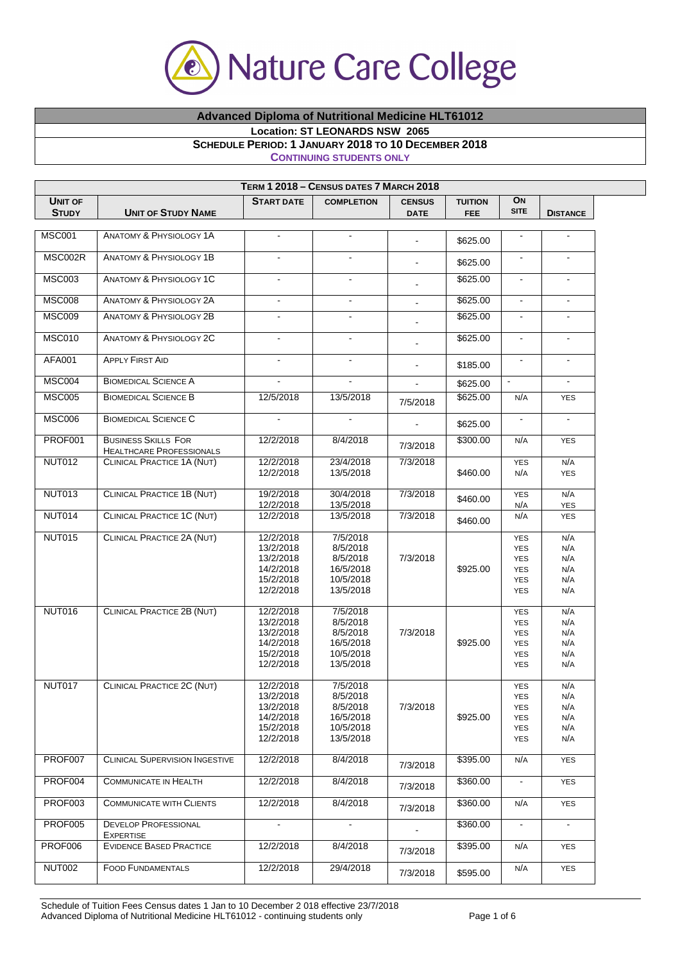

## **Advanced Diploma of Nutritional Medicine HLT61012**

**Location: ST LEONARDS NSW 2065** 

## **SCHEDULE PERIOD: 1 JANUARY 2018 TO 10 DECEMBER 2018**

**CONTINUING STUDENTS ONLY**

|                                |                                                               |                          | TERM 1 2018 - CENSUS DATES 7 MARCH 2018 |                              |                              |                   |                   |
|--------------------------------|---------------------------------------------------------------|--------------------------|-----------------------------------------|------------------------------|------------------------------|-------------------|-------------------|
| <b>UNIT OF</b><br><b>STUDY</b> | <b>UNIT OF STUDY NAME</b>                                     | <b>START DATE</b>        | <b>COMPLETION</b>                       | <b>CENSUS</b><br><b>DATE</b> | <b>TUITION</b><br><b>FEE</b> | ON<br><b>SITE</b> | <b>DISTANCE</b>   |
|                                |                                                               |                          |                                         |                              |                              |                   |                   |
| <b>MSC001</b>                  | <b>ANATOMY &amp; PHYSIOLOGY 1A</b>                            | $\blacksquare$           | $\blacksquare$                          |                              | \$625.00                     | $\blacksquare$    | $\blacksquare$    |
| MSC002R                        | <b>ANATOMY &amp; PHYSIOLOGY 1B</b>                            |                          |                                         | -                            | \$625.00                     |                   |                   |
| <b>MSC003</b>                  | <b>ANATOMY &amp; PHYSIOLOGY 1C</b>                            |                          |                                         | ä,                           | \$625.00                     |                   |                   |
| <b>MSC008</b>                  | <b>ANATOMY &amp; PHYSIOLOGY 2A</b>                            | $\blacksquare$           | $\blacksquare$                          | ÷,                           | \$625.00                     | $\blacksquare$    | $\blacksquare$    |
| <b>MSC009</b>                  | <b>ANATOMY &amp; PHYSIOLOGY 2B</b>                            | $\overline{\phantom{a}}$ |                                         |                              | \$625.00                     | $\blacksquare$    | $\blacksquare$    |
| MSC010                         | <b>ANATOMY &amp; PHYSIOLOGY 2C</b>                            | $\blacksquare$           | $\blacksquare$                          |                              | \$625.00                     | $\blacksquare$    | $\blacksquare$    |
| AFA001                         | <b>APPLY FIRST AID</b>                                        | $\mathbf{r}$             | $\blacksquare$                          | ä,                           | \$185.00                     | $\blacksquare$    | $\mathbf{r}$      |
| <b>MSC004</b>                  | <b>BIOMEDICAL SCIENCE A</b>                                   |                          |                                         |                              | \$625.00                     |                   |                   |
| <b>MSC005</b>                  | <b>BIOMEDICAL SCIENCE B</b>                                   | 12/5/2018                | 13/5/2018                               | 7/5/2018                     | \$625.00                     | N/A               | <b>YES</b>        |
| <b>MSC006</b>                  | <b>BIOMEDICAL SCIENCE C</b>                                   |                          |                                         |                              | \$625.00                     | $\blacksquare$    |                   |
| <b>PROF001</b>                 | <b>BUSINESS SKILLS FOR</b><br><b>HEALTHCARE PROFESSIONALS</b> | 12/2/2018                | 8/4/2018                                | 7/3/2018                     | \$300.00                     | N/A               | <b>YES</b>        |
| <b>NUT012</b>                  | CLINICAL PRACTICE 1A (NUT)                                    | 12/2/2018                | 23/4/2018                               | 7/3/2018                     |                              | <b>YES</b>        | N/A               |
|                                |                                                               | 12/2/2018                | 13/5/2018                               |                              | \$460.00                     | N/A               | <b>YES</b>        |
| <b>NUT013</b>                  | <b>CLINICAL PRACTICE 1B (NUT)</b>                             | 19/2/2018<br>12/2/2018   | 30/4/2018<br>13/5/2018                  | 7/3/2018                     | \$460.00                     | <b>YES</b><br>N/A | N/A<br><b>YES</b> |
| <b>NUT014</b>                  | <b>CLINICAL PRACTICE 1C (NUT)</b>                             | 12/2/2018                | 13/5/2018                               | 7/3/2018                     | \$460.00                     | N/A               | <b>YES</b>        |
| <b>NUT015</b>                  | CLINICAL PRACTICE 2A (NUT)                                    | 12/2/2018                | 7/5/2018                                |                              |                              | <b>YES</b>        | N/A               |
|                                |                                                               | 13/2/2018                | 8/5/2018                                |                              |                              | <b>YES</b>        | N/A               |
|                                |                                                               | 13/2/2018                | 8/5/2018                                | 7/3/2018                     |                              | <b>YES</b>        | N/A               |
|                                |                                                               | 14/2/2018                | 16/5/2018                               |                              | \$925.00                     | <b>YES</b>        | N/A               |
|                                |                                                               | 15/2/2018                | 10/5/2018                               |                              |                              | <b>YES</b>        | N/A               |
|                                |                                                               | 12/2/2018                | 13/5/2018                               |                              |                              | <b>YES</b>        | N/A               |
| <b>NUT016</b>                  | CLINICAL PRACTICE 2B (NUT)                                    | 12/2/2018                | 7/5/2018                                |                              |                              | <b>YES</b>        | N/A               |
|                                |                                                               | 13/2/2018                | 8/5/2018                                |                              |                              | <b>YES</b>        | N/A               |
|                                |                                                               | 13/2/2018                | 8/5/2018                                | 7/3/2018                     |                              | <b>YES</b>        | N/A               |
|                                |                                                               | 14/2/2018                | 16/5/2018                               |                              | \$925.00                     | <b>YES</b>        | N/A               |
|                                |                                                               | 15/2/2018                | 10/5/2018                               |                              |                              | <b>YES</b>        | N/A               |
|                                |                                                               | 12/2/2018                | 13/5/2018                               |                              |                              | <b>YES</b>        | N/A               |
| NUT017                         | CLINICAL PRACTICE 2C (NUT)                                    | 12/2/2018                | 7/5/2018                                |                              |                              | YES               | N/A               |
|                                |                                                               | 13/2/2018                | 8/5/2018                                |                              |                              | <b>YES</b>        | N/A               |
|                                |                                                               | 13/2/2018                | 8/5/2018                                | 7/3/2018                     |                              | <b>YES</b>        | N/A               |
|                                |                                                               | 14/2/2018                | 16/5/2018                               |                              | \$925.00                     | <b>YES</b>        | N/A               |
|                                |                                                               | 15/2/2018                | 10/5/2018                               |                              |                              | <b>YES</b>        | N/A               |
|                                |                                                               | 12/2/2018                | 13/5/2018                               |                              |                              | <b>YES</b>        | N/A               |
| PROF007                        | <b>CLINICAL SUPERVISION INGESTIVE</b>                         | 12/2/2018                | 8/4/2018                                | 7/3/2018                     | \$395.00                     | N/A               | <b>YES</b>        |
| PROF004                        | COMMUNICATE IN HEALTH                                         | 12/2/2018                | 8/4/2018                                | 7/3/2018                     | \$360.00                     |                   | <b>YES</b>        |
| PROF003                        | <b>COMMUNICATE WITH CLIENTS</b>                               | 12/2/2018                | 8/4/2018                                | 7/3/2018                     | \$360.00                     | N/A               | <b>YES</b>        |
| PROF005                        | <b>DEVELOP PROFESSIONAL</b><br><b>EXPERTISE</b>               | $\blacksquare$           | $\blacksquare$                          |                              | \$360.00                     | $\blacksquare$    | $\sim$            |
| PROF006                        | <b>EVIDENCE BASED PRACTICE</b>                                | 12/2/2018                | 8/4/2018                                | 7/3/2018                     | \$395.00                     | N/A               | YES               |
| NUT002                         | <b>FOOD FUNDAMENTALS</b>                                      | 12/2/2018                | 29/4/2018                               | 7/3/2018                     | \$595.00                     | N/A               | <b>YES</b>        |

Schedule of Tuition Fees Census dates 1 Jan to 10 December 2 018 effective 23/7/2018 Advanced Diploma of Nutritional Medicine HLT61012 - continuing students only Page 1 of 6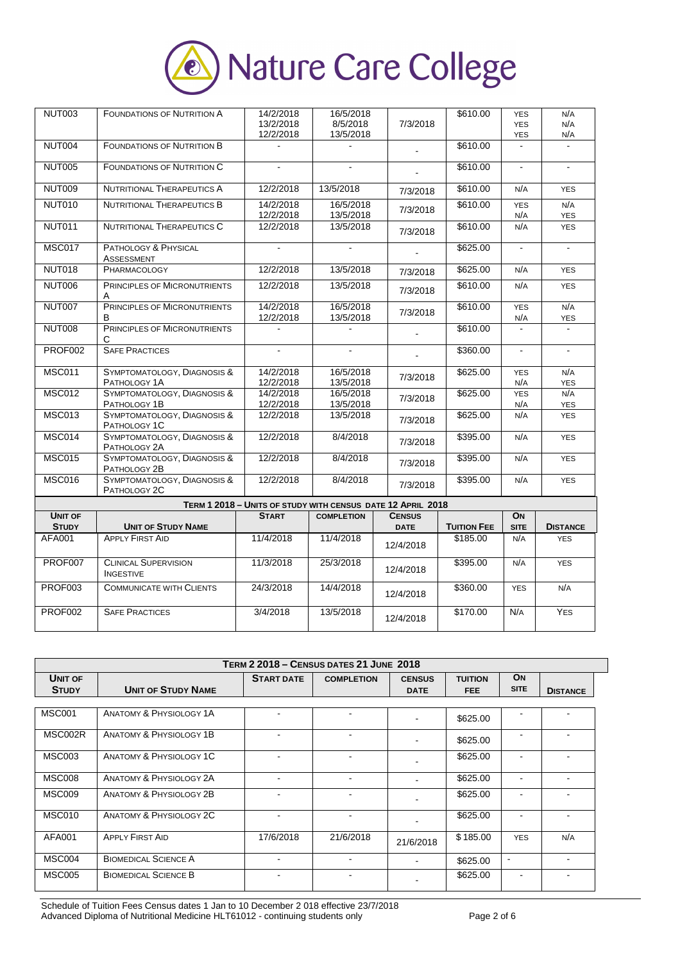

| <b>NUT003</b>                  | <b>FOUNDATIONS OF NUTRITION A</b>               | 14/2/2018<br>13/2/2018<br>12/2/2018                         | 16/5/2018<br>8/5/2018<br>13/5/2018 | 7/3/2018                     | \$610.00           | <b>YES</b><br><b>YES</b><br>YES | N/A<br>N/A<br>N/A |
|--------------------------------|-------------------------------------------------|-------------------------------------------------------------|------------------------------------|------------------------------|--------------------|---------------------------------|-------------------|
| NUT004                         | <b>FOUNDATIONS OF NUTRITION B</b>               |                                                             |                                    | L.                           | \$610.00           | $\mathbf{r}$                    |                   |
| <b>NUT005</b>                  | <b>FOUNDATIONS OF NUTRITION C</b>               |                                                             |                                    |                              | \$610.00           | $\overline{\phantom{a}}$        |                   |
| <b>NUT009</b>                  | <b>NUTRITIONAL THERAPEUTICS A</b>               | 12/2/2018                                                   | 13/5/2018                          | 7/3/2018                     | \$610.00           | N/A                             | <b>YES</b>        |
| <b>NUT010</b>                  | <b>NUTRITIONAL THERAPEUTICS B</b>               | 14/2/2018<br>12/2/2018                                      | 16/5/2018<br>13/5/2018             | 7/3/2018                     | \$610.00           | <b>YES</b><br>N/A               | N/A<br><b>YES</b> |
| <b>NUT011</b>                  | NUTRITIONAL THERAPEUTICS C                      | 12/2/2018                                                   | 13/5/2018                          | 7/3/2018                     | \$610.00           | N/A                             | <b>YES</b>        |
| <b>MSC017</b>                  | PATHOLOGY & PHYSICAL<br>ASSESSMENT              | $\blacksquare$                                              | ä,                                 |                              | \$625.00           | $\blacksquare$                  | $\blacksquare$    |
| <b>NUT018</b>                  | PHARMACOLOGY                                    | 12/2/2018                                                   | 13/5/2018                          | 7/3/2018                     | \$625.00           | N/A                             | <b>YES</b>        |
| <b>NUT006</b>                  | PRINCIPLES OF MICRONUTRIENTS<br>Α               | 12/2/2018                                                   | 13/5/2018                          | 7/3/2018                     | \$610.00           | N/A                             | <b>YES</b>        |
| <b>NUT007</b>                  | PRINCIPLES OF MICRONUTRIENTS<br>B               | 14/2/2018<br>12/2/2018                                      | 16/5/2018<br>13/5/2018             | 7/3/2018                     | \$610.00           | <b>YES</b><br>N/A               | N/A<br><b>YES</b> |
| <b>NUT008</b>                  | <b>PRINCIPLES OF MICRONUTRIENTS</b><br>С        |                                                             |                                    |                              | \$610.00           | $\mathbf{r}$                    | $\mathbf{r}$      |
| <b>PROF002</b>                 | <b>SAFE PRACTICES</b>                           |                                                             |                                    |                              | \$360.00           |                                 |                   |
| <b>MSC011</b>                  | SYMPTOMATOLOGY, DIAGNOSIS &<br>PATHOLOGY 1A     | 14/2/2018<br>12/2/2018                                      | 16/5/2018<br>13/5/2018             | 7/3/2018                     | \$625.00           | <b>YES</b><br>N/A               | N/A<br><b>YES</b> |
| <b>MSC012</b>                  | SYMPTOMATOLOGY, DIAGNOSIS &<br>PATHOLOGY 1B     | 14/2/2018<br>12/2/2018                                      | 16/5/2018<br>13/5/2018             | 7/3/2018                     | \$625.00           | <b>YES</b><br>N/A               | N/A<br><b>YES</b> |
| <b>MSC013</b>                  | SYMPTOMATOLOGY, DIAGNOSIS &<br>PATHOLOGY 1C     | 12/2/2018                                                   | 13/5/2018                          | 7/3/2018                     | \$625.00           | N/A                             | <b>YES</b>        |
| <b>MSC014</b>                  | SYMPTOMATOLOGY, DIAGNOSIS &<br>PATHOLOGY 2A     | 12/2/2018                                                   | 8/4/2018                           | 7/3/2018                     | \$395.00           | N/A                             | <b>YES</b>        |
| <b>MSC015</b>                  | SYMPTOMATOLOGY, DIAGNOSIS &<br>PATHOLOGY 2B     | 12/2/2018                                                   | 8/4/2018                           | 7/3/2018                     | \$395.00           | N/A                             | <b>YES</b>        |
| <b>MSC016</b>                  | SYMPTOMATOLOGY, DIAGNOSIS &<br>PATHOLOGY 2C     | 12/2/2018                                                   | 8/4/2018                           | 7/3/2018                     | \$395.00           | N/A                             | <b>YES</b>        |
|                                |                                                 | TERM 1 2018 - UNITS OF STUDY WITH CENSUS DATE 12 APRIL 2018 |                                    |                              |                    |                                 |                   |
| <b>UNIT OF</b><br><b>STUDY</b> | <b>UNIT OF STUDY NAME</b>                       | <b>START</b>                                                | <b>COMPLETION</b>                  | <b>CENSUS</b><br><b>DATE</b> | <b>TUITION FEE</b> | ON<br><b>SITE</b>               | <b>DISTANCE</b>   |
| AFA001                         | <b>APPLY FIRST AID</b>                          | 11/4/2018                                                   | 11/4/2018                          | 12/4/2018                    | \$185.00           | N/A                             | <b>YES</b>        |
| PROF007                        | <b>CLINICAL SUPERVISION</b><br><b>INGESTIVE</b> | 11/3/2018                                                   | 25/3/2018                          | 12/4/2018                    | \$395.00           | N/A                             | <b>YES</b>        |
| <b>PROF003</b>                 | <b>COMMUNICATE WITH CLIENTS</b>                 | 24/3/2018                                                   | 14/4/2018                          | 12/4/2018                    | \$360.00           | <b>YES</b>                      | N/A               |
| <b>PROF002</b>                 | <b>SAFE PRACTICES</b>                           | 3/4/2018                                                    | 13/5/2018                          | 12/4/2018                    | \$170.00           | N/A                             | YES               |

| <b>TERM 2 2018 - CENSUS DATES 21 JUNE 2018</b> |                                    |                   |                   |                              |                              |                   |                 |  |
|------------------------------------------------|------------------------------------|-------------------|-------------------|------------------------------|------------------------------|-------------------|-----------------|--|
| UNIT OF<br><b>STUDY</b>                        | <b>UNIT OF STUDY NAME</b>          | <b>START DATE</b> | <b>COMPLETION</b> | <b>CENSUS</b><br><b>DATE</b> | <b>TUITION</b><br><b>FEE</b> | ON<br><b>SITE</b> | <b>DISTANCE</b> |  |
| <b>MSC001</b>                                  | <b>ANATOMY &amp; PHYSIOLOGY 1A</b> |                   |                   |                              |                              |                   |                 |  |
|                                                |                                    |                   |                   |                              | \$625.00                     |                   |                 |  |
| MSC002R                                        | ANATOMY & PHYSIOLOGY 1B            |                   | $\overline{a}$    |                              | \$625.00                     |                   |                 |  |
| <b>MSC003</b>                                  | ANATOMY & PHYSIOLOGY 1C            |                   | $\blacksquare$    |                              | \$625.00                     |                   |                 |  |
| <b>MSC008</b>                                  | <b>ANATOMY &amp; PHYSIOLOGY 2A</b> |                   | $\overline{a}$    |                              | \$625.00                     |                   | -               |  |
| <b>MSC009</b>                                  | ANATOMY & PHYSIOLOGY 2B            |                   | $\overline{a}$    |                              | \$625.00                     |                   |                 |  |
| <b>MSC010</b>                                  | ANATOMY & PHYSIOLOGY 2C            |                   | $\overline{a}$    |                              | \$625.00                     |                   |                 |  |
| AFA001                                         | <b>APPLY FIRST AID</b>             | 17/6/2018         | 21/6/2018         | 21/6/2018                    | \$185.00                     | <b>YES</b>        | N/A             |  |
| MSC004                                         | <b>BIOMEDICAL SCIENCE A</b>        | $\overline{a}$    | $\sim$            |                              | \$625.00                     | $\blacksquare$    | ٠               |  |
| <b>MSC005</b>                                  | <b>BIOMEDICAL SCIENCE B</b>        |                   |                   |                              | \$625.00                     |                   |                 |  |

Schedule of Tuition Fees Census dates 1 Jan to 10 December 2 018 effective 23/7/2018 Advanced Diploma of Nutritional Medicine HLT61012 - continuing students only Page 2 of 6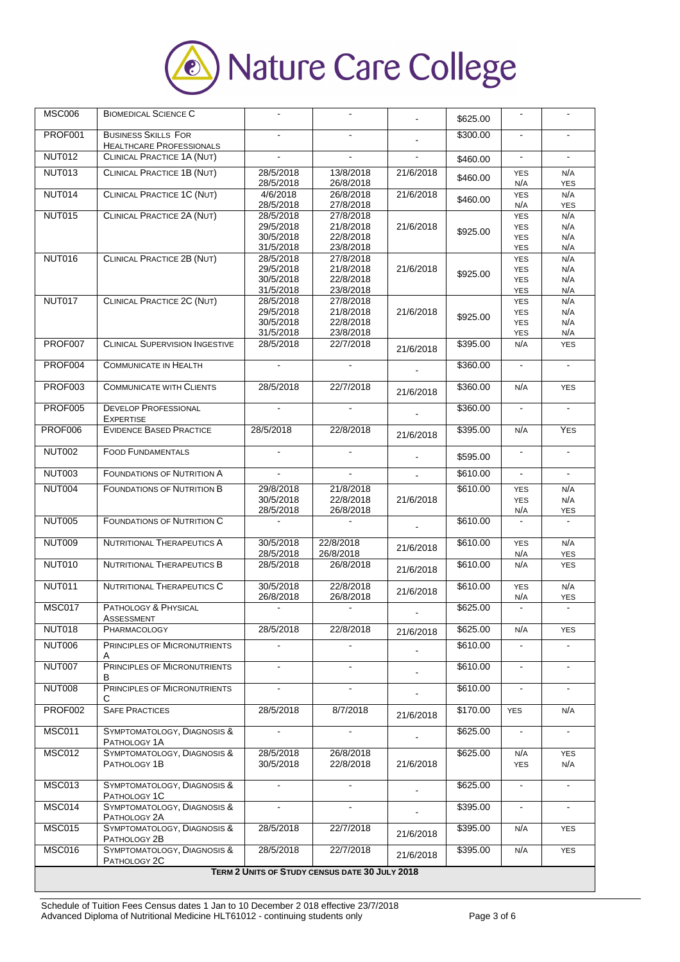

| MSC006                                         | <b>BIOMEDICAL SCIENCE C</b>                                   |                                                  |                                                  | $\blacksquare$ | \$625.00 |                                                      |                          |
|------------------------------------------------|---------------------------------------------------------------|--------------------------------------------------|--------------------------------------------------|----------------|----------|------------------------------------------------------|--------------------------|
| PROF001                                        | <b>BUSINESS SKILLS FOR</b><br><b>HEALTHCARE PROFESSIONALS</b> |                                                  |                                                  | $\mathbf{r}$   | \$300.00 |                                                      |                          |
| <b>NUT012</b>                                  | CLINICAL PRACTICE 1A (NUT)                                    | $\mathbf{r}$                                     |                                                  |                | \$460.00 | $\blacksquare$                                       | $\mathbf{r}$             |
| NUT013                                         | CLINICAL PRACTICE 1B (NUT)                                    | 28/5/2018<br>28/5/2018                           | 13/8/2018<br>26/8/2018                           | 21/6/2018      | \$460.00 | <b>YES</b><br>N/A                                    | N/A<br><b>YES</b>        |
| <b>NUT014</b>                                  | <b>CLINICAL PRACTICE 1C (NUT)</b>                             | 4/6/2018<br>28/5/2018                            | 26/8/2018<br>27/8/2018                           | 21/6/2018      | \$460.00 | <b>YES</b><br>N/A                                    | N/A<br><b>YES</b>        |
| <b>NUT015</b>                                  | CLINICAL PRACTICE 2A (NUT)                                    | 28/5/2018<br>29/5/2018<br>30/5/2018<br>31/5/2018 | 27/8/2018<br>21/8/2018<br>22/8/2018<br>23/8/2018 | 21/6/2018      | \$925.00 | <b>YES</b><br><b>YES</b><br><b>YES</b><br><b>YES</b> | N/A<br>N/A<br>N/A<br>N/A |
| <b>NUT016</b>                                  | <b>CLINICAL PRACTICE 2B (NUT)</b>                             | 28/5/2018<br>29/5/2018<br>30/5/2018<br>31/5/2018 | 27/8/2018<br>21/8/2018<br>22/8/2018<br>23/8/2018 | 21/6/2018      | \$925.00 | <b>YES</b><br><b>YES</b><br><b>YES</b><br><b>YES</b> | N/A<br>N/A<br>N/A<br>N/A |
| <b>NUT017</b>                                  | CLINICAL PRACTICE 2C (NUT)                                    | 28/5/2018<br>29/5/2018<br>30/5/2018<br>31/5/2018 | 27/8/2018<br>21/8/2018<br>22/8/2018<br>23/8/2018 | 21/6/2018      | \$925.00 | <b>YES</b><br><b>YES</b><br><b>YES</b><br>YES        | N/A<br>N/A<br>N/A<br>N/A |
| PROF007                                        | <b>CLINICAL SUPERVISION INGESTIVE</b>                         | 28/5/2018                                        | 22/7/2018                                        | 21/6/2018      | \$395.00 | N/A                                                  | <b>YES</b>               |
| PROF004                                        | <b>COMMUNICATE IN HEALTH</b>                                  |                                                  |                                                  |                | \$360.00 | $\blacksquare$                                       | $\blacksquare$           |
| PROF003                                        | <b>COMMUNICATE WITH CLIENTS</b>                               | 28/5/2018                                        | 22/7/2018                                        | 21/6/2018      | \$360.00 | N/A                                                  | <b>YES</b>               |
| <b>PROF005</b>                                 | <b>DEVELOP PROFESSIONAL</b><br><b>EXPERTISE</b>               | $\mathbf{r}$                                     |                                                  |                | \$360.00 | $\blacksquare$                                       | $\mathbf{r}$             |
| PROF006                                        | <b>EVIDENCE BASED PRACTICE</b>                                | 28/5/2018                                        | 22/8/2018                                        | 21/6/2018      | \$395.00 | N/A                                                  | <b>YES</b>               |
| <b>NUT002</b>                                  | <b>FOOD FUNDAMENTALS</b>                                      | $\blacksquare$                                   | $\blacksquare$                                   |                | \$595.00 | $\blacksquare$                                       | $\blacksquare$           |
| <b>NUT003</b>                                  | <b>FOUNDATIONS OF NUTRITION A</b>                             | $\blacksquare$                                   | $\blacksquare$                                   | $\mathbf{r}$   | \$610.00 | $\blacksquare$                                       | $\blacksquare$           |
| <b>NUT004</b>                                  | <b>FOUNDATIONS OF NUTRITION B</b>                             | 29/8/2018<br>30/5/2018<br>28/5/2018              | 21/8/2018<br>22/8/2018<br>26/8/2018              | 21/6/2018      | \$610.00 | <b>YES</b><br><b>YES</b><br>N/A                      | N/A<br>N/A<br><b>YES</b> |
| <b>NUT005</b>                                  | <b>FOUNDATIONS OF NUTRITION C</b>                             |                                                  |                                                  |                | \$610.00 |                                                      |                          |
| <b>NUT009</b>                                  | <b>NUTRITIONAL THERAPEUTICS A</b>                             | 30/5/2018<br>28/5/2018                           | 22/8/2018<br>26/8/2018                           | 21/6/2018      | \$610.00 | <b>YES</b><br>N/A                                    | N/A<br><b>YES</b>        |
| <b>NUT010</b>                                  | <b>NUTRITIONAL THERAPEUTICS B</b>                             | 28/5/2018                                        | 26/8/2018                                        | 21/6/2018      | \$610.00 | N/A                                                  | <b>YES</b>               |
| <b>NUT011</b>                                  | NUTRITIONAL THERAPEUTICS C                                    | 30/5/2018<br>26/8/2018                           | 22/8/2018<br>26/8/2018                           | 21/6/2018      | \$610.00 | <b>YES</b><br>N/A                                    | N/A<br>YES               |
| <b>MSC017</b>                                  | PATHOLOGY & PHYSICAL<br>ASSESSMENT                            |                                                  |                                                  |                | \$625.00 |                                                      |                          |
| <b>NUT018</b>                                  | PHARMACOLOGY                                                  | 28/5/2018                                        | 22/8/2018                                        | 21/6/2018      | \$625.00 | N/A                                                  | <b>YES</b>               |
| <b>NUT006</b>                                  | PRINCIPLES OF MICRONUTRIENTS<br>Α                             | $\blacksquare$                                   | $\mathbf{r}$                                     |                | \$610.00 |                                                      |                          |
| <b>NUT007</b>                                  | PRINCIPLES OF MICRONUTRIENTS<br>в                             | $\blacksquare$                                   | $\blacksquare$                                   |                | \$610.00 | $\blacksquare$                                       | $\blacksquare$           |
| <b>NUT008</b>                                  | PRINCIPLES OF MICRONUTRIENTS<br>С                             | $\blacksquare$                                   | $\blacksquare$                                   |                | \$610.00 | $\blacksquare$                                       | $\blacksquare$           |
| PROF002                                        | <b>SAFE PRACTICES</b>                                         | 28/5/2018                                        | 8/7/2018                                         | 21/6/2018      | \$170.00 | <b>YES</b>                                           | N/A                      |
| <b>MSC011</b>                                  | SYMPTOMATOLOGY, DIAGNOSIS &<br>PATHOLOGY 1A                   |                                                  |                                                  |                | \$625.00 |                                                      |                          |
| <b>MSC012</b>                                  | SYMPTOMATOLOGY, DIAGNOSIS &<br>PATHOLOGY 1B                   | 28/5/2018<br>30/5/2018                           | 26/8/2018<br>22/8/2018                           | 21/6/2018      | \$625.00 | N/A<br><b>YES</b>                                    | <b>YES</b><br>N/A        |
| <b>MSC013</b>                                  | SYMPTOMATOLOGY, DIAGNOSIS &<br>PATHOLOGY 1C                   | $\mathbf{r}$                                     | $\mathbf{r}$                                     | ä,             | \$625.00 | $\blacksquare$                                       | $\blacksquare$           |
| <b>MSC014</b>                                  | SYMPTOMATOLOGY, DIAGNOSIS &<br>PATHOLOGY 2A                   |                                                  |                                                  | $\mathbf{r}$   | \$395.00 | $\blacksquare$                                       |                          |
| <b>MSC015</b>                                  | SYMPTOMATOLOGY, DIAGNOSIS &<br>PATHOLOGY 2B                   | 28/5/2018                                        | 22/7/2018                                        | 21/6/2018      | \$395.00 | N/A                                                  | <b>YES</b>               |
| <b>MSC016</b>                                  | SYMPTOMATOLOGY, DIAGNOSIS &<br>PATHOLOGY 2C                   | 28/5/2018                                        | 22/7/2018                                        | 21/6/2018      | \$395.00 | N/A                                                  | <b>YES</b>               |
| TERM 2 UNITS OF STUDY CENSUS DATE 30 JULY 2018 |                                                               |                                                  |                                                  |                |          |                                                      |                          |

Schedule of Tuition Fees Census dates 1 Jan to 10 December 2 018 effective 23/7/2018 Advanced Diploma of Nutritional Medicine HLT61012 - continuing students only Page 3 of 6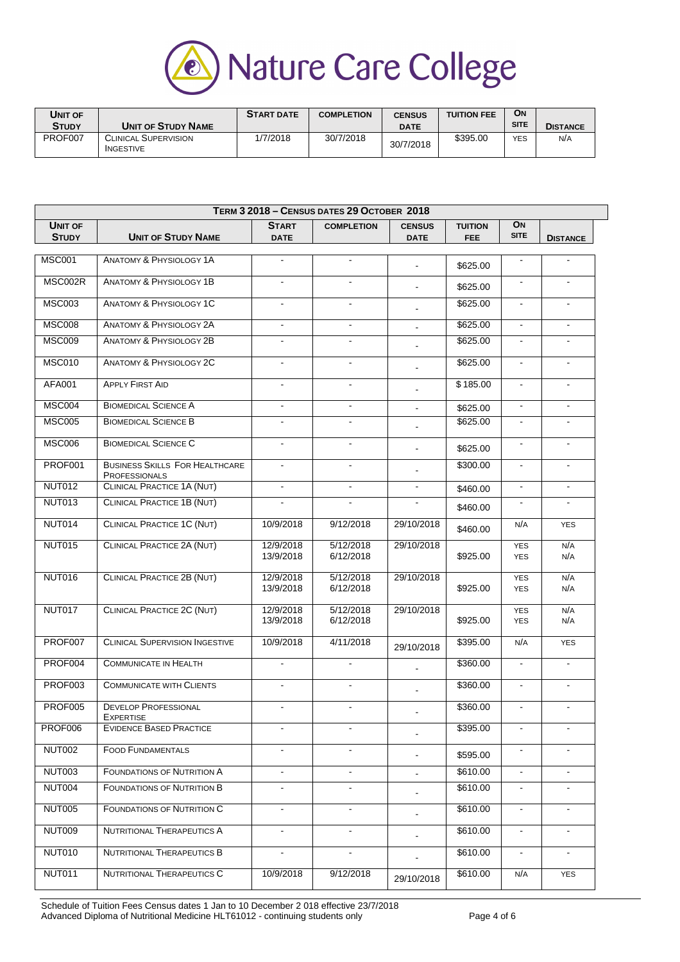

| Unit of |                                                 | <b>START DATE</b> | <b>COMPLETION</b> | <b>CENSUS</b> | <b>TUITION FEE</b> | <b>ON</b>   |                 |
|---------|-------------------------------------------------|-------------------|-------------------|---------------|--------------------|-------------|-----------------|
| Study   | <b>UNIT OF STUDY NAME</b>                       |                   |                   | <b>DATE</b>   |                    | <b>SITE</b> | <b>DISTANCE</b> |
| PROF007 | <b>CLINICAL SUPERVISION</b><br><b>INGESTIVE</b> | 1/7/2018          | 30/7/2018         | 30/7/2018     | \$395.00           | <b>YES</b>  | N/A             |

|                                |                                                               | TERM 3 2018 - CENSUS DATES 29 OCTOBER 2018 |                        |                              |                        |                          |                 |  |  |  |
|--------------------------------|---------------------------------------------------------------|--------------------------------------------|------------------------|------------------------------|------------------------|--------------------------|-----------------|--|--|--|
| <b>UNIT OF</b><br><b>STUDY</b> | <b>UNIT OF STUDY NAME</b>                                     | <b>START</b><br><b>DATE</b>                | <b>COMPLETION</b>      | <b>CENSUS</b><br><b>DATE</b> | <b>TUITION</b><br>FEE. | ON<br><b>SITE</b>        | <b>DISTANCE</b> |  |  |  |
| <b>MSC001</b>                  | <b>ANATOMY &amp; PHYSIOLOGY 1A</b>                            | $\blacksquare$                             | $\blacksquare$         |                              |                        | $\blacksquare$           | $\blacksquare$  |  |  |  |
|                                |                                                               |                                            |                        | $\sim$                       | \$625.00               |                          |                 |  |  |  |
| MSC002R                        | <b>ANATOMY &amp; PHYSIOLOGY 1B</b>                            | $\blacksquare$                             | $\blacksquare$         | ÷.                           | \$625.00               | $\blacksquare$           | $\blacksquare$  |  |  |  |
| <b>MSC003</b>                  | <b>ANATOMY &amp; PHYSIOLOGY 1C</b>                            |                                            | $\blacksquare$         |                              | \$625.00               | $\blacksquare$           | $\blacksquare$  |  |  |  |
| <b>MSC008</b>                  | <b>ANATOMY &amp; PHYSIOLOGY 2A</b>                            | $\mathbf{r}$                               | $\mathbf{r}$           |                              | \$625.00               | $\blacksquare$           |                 |  |  |  |
| <b>MSC009</b>                  | <b>ANATOMY &amp; PHYSIOLOGY 2B</b>                            | $\blacksquare$                             | $\blacksquare$         |                              | \$625.00               | $\blacksquare$           | $\blacksquare$  |  |  |  |
| <b>MSC010</b>                  | <b>ANATOMY &amp; PHYSIOLOGY 2C</b>                            | $\blacksquare$                             | $\blacksquare$         |                              | \$625.00               | $\blacksquare$           | $\blacksquare$  |  |  |  |
| AFA001                         | <b>APPLY FIRST AID</b>                                        | $\blacksquare$                             | $\blacksquare$         |                              | \$185.00               | $\blacksquare$           | $\blacksquare$  |  |  |  |
| <b>MSC004</b>                  | <b>BIOMEDICAL SCIENCE A</b>                                   | $\blacksquare$                             | $\blacksquare$         |                              | \$625.00               | $\blacksquare$           | $\blacksquare$  |  |  |  |
| <b>MSC005</b>                  | <b>BIOMEDICAL SCIENCE B</b>                                   |                                            |                        |                              | \$625.00               |                          |                 |  |  |  |
| <b>MSC006</b>                  | <b>BIOMEDICAL SCIENCE C</b>                                   | $\blacksquare$                             | $\blacksquare$         | ۰                            | \$625.00               | $\blacksquare$           | $\blacksquare$  |  |  |  |
| <b>PROF001</b>                 | <b>BUSINESS SKILLS FOR HEALTHCARE</b><br><b>PROFESSIONALS</b> | $\blacksquare$                             | $\mathbf{r}$           |                              | \$300.00               | $\blacksquare$           | $\blacksquare$  |  |  |  |
| <b>NUT012</b>                  | <b>CLINICAL PRACTICE 1A (NUT)</b>                             | $\blacksquare$                             | $\blacksquare$         | $\blacksquare$               | \$460.00               | $\blacksquare$           | $\blacksquare$  |  |  |  |
| <b>NUT013</b>                  | <b>CLINICAL PRACTICE 1B (NUT)</b>                             |                                            |                        |                              | \$460.00               |                          |                 |  |  |  |
| <b>NUT014</b>                  | <b>CLINICAL PRACTICE 1C (NUT)</b>                             | 10/9/2018                                  | 9/12/2018              | 29/10/2018                   | \$460.00               | N/A                      | <b>YES</b>      |  |  |  |
| <b>NUT015</b>                  | CLINICAL PRACTICE 2A (NUT)                                    | 12/9/2018<br>13/9/2018                     | 5/12/2018<br>6/12/2018 | 29/10/2018                   | \$925.00               | <b>YES</b><br><b>YES</b> | N/A<br>N/A      |  |  |  |
| <b>NUT016</b>                  | CLINICAL PRACTICE 2B (NUT)                                    | 12/9/2018<br>13/9/2018                     | 5/12/2018<br>6/12/2018 | 29/10/2018                   | \$925.00               | <b>YES</b><br><b>YES</b> | N/A<br>N/A      |  |  |  |
| <b>NUT017</b>                  | <b>CLINICAL PRACTICE 2C (NUT)</b>                             | 12/9/2018<br>13/9/2018                     | 5/12/2018<br>6/12/2018 | 29/10/2018                   | \$925.00               | <b>YES</b><br><b>YES</b> | N/A<br>N/A      |  |  |  |
| PROF007                        | <b>CLINICAL SUPERVISION INGESTIVE</b>                         | 10/9/2018                                  | 4/11/2018              | 29/10/2018                   | \$395.00               | N/A                      | <b>YES</b>      |  |  |  |
| PROF004                        | <b>COMMUNICATE IN HEALTH</b>                                  |                                            | $\sim$                 |                              | \$360.00               | $\blacksquare$           | $\blacksquare$  |  |  |  |
| PROF003                        | <b>COMMUNICATE WITH CLIENTS</b>                               | $\blacksquare$                             | $\sim$                 |                              | \$360.00               | $\blacksquare$           | $\blacksquare$  |  |  |  |
| <b>PROF005</b>                 | <b>DEVELOP PROFESSIONAL</b>                                   | $\blacksquare$                             | $\mathbf{r}$           |                              | \$360.00               | $\blacksquare$           | $\mathbf{r}$    |  |  |  |
| PROF006                        | <b>EXPERTISE</b><br><b>EVIDENCE BASED PRACTICE</b>            |                                            |                        |                              | \$395.00               |                          |                 |  |  |  |
| <b>NUT002</b>                  | <b>FOOD FUNDAMENTALS</b>                                      |                                            |                        |                              | \$595.00               |                          |                 |  |  |  |
| <b>NUT003</b>                  | <b>FOUNDATIONS OF NUTRITION A</b>                             | $\blacksquare$                             |                        | ۰                            | \$610.00               | $\blacksquare$           |                 |  |  |  |
| NUT004                         | <b>FOUNDATIONS OF NUTRITION B</b>                             | $\blacksquare$                             | $\blacksquare$         |                              | \$610.00               | $\blacksquare$           | $\blacksquare$  |  |  |  |
| NUT005                         | <b>FOUNDATIONS OF NUTRITION C</b>                             | $\blacksquare$                             | $\blacksquare$         |                              | \$610.00               | $\blacksquare$           | $\blacksquare$  |  |  |  |
| <b>NUT009</b>                  | <b>NUTRITIONAL THERAPEUTICS A</b>                             | $\blacksquare$                             | $\blacksquare$         |                              | \$610.00               | $\blacksquare$           | $\blacksquare$  |  |  |  |
| <b>NUT010</b>                  | NUTRITIONAL THERAPEUTICS B                                    | $\blacksquare$                             |                        |                              | \$610.00               |                          |                 |  |  |  |
|                                |                                                               |                                            |                        |                              |                        |                          |                 |  |  |  |
| <b>NUT011</b>                  | NUTRITIONAL THERAPEUTICS C                                    | 10/9/2018                                  | 9/12/2018              | 29/10/2018                   | \$610.00               | N/A                      | <b>YES</b>      |  |  |  |

Schedule of Tuition Fees Census dates 1 Jan to 10 December 2 018 effective 23/7/2018 Advanced Diploma of Nutritional Medicine HLT61012 - continuing students only Page 4 of 6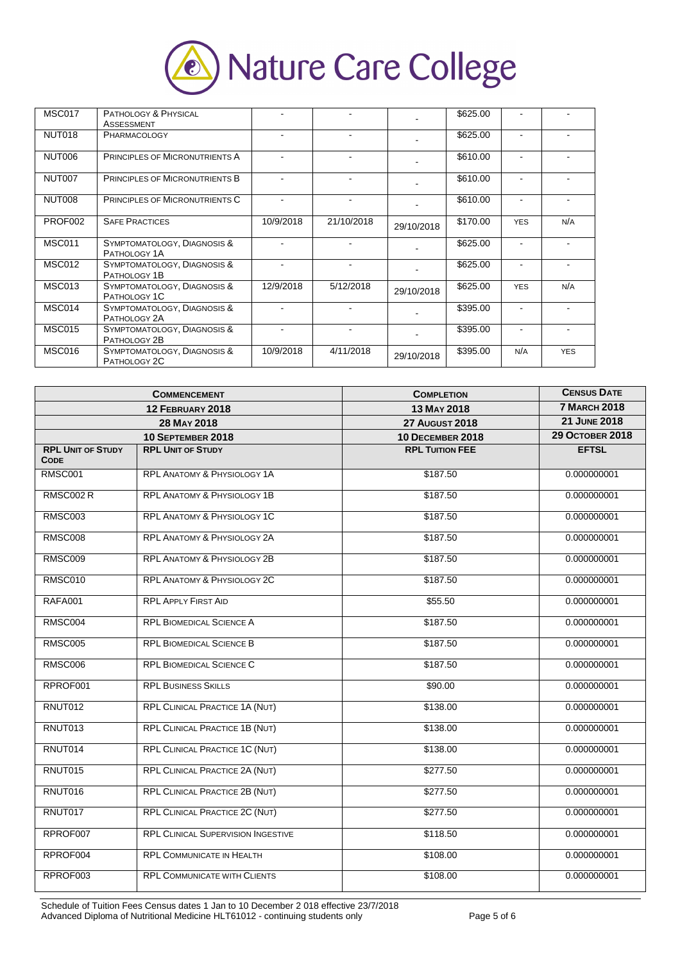

| <b>MSC017</b> | PATHOLOGY & PHYSICAL<br><b>ASSESSMENT</b>   |                          |                |            | \$625.00 |                          |            |
|---------------|---------------------------------------------|--------------------------|----------------|------------|----------|--------------------------|------------|
| NUT018        | <b>PHARMACOLOGY</b>                         |                          |                |            | \$625.00 |                          |            |
| NUT006        | <b>PRINCIPLES OF MICRONUTRIENTS A</b>       | $\overline{\phantom{a}}$ | $\blacksquare$ |            | \$610.00 | $\blacksquare$           |            |
| NUT007        | <b>PRINCIPLES OF MICRONUTRIENTS B</b>       | $\blacksquare$           | $\blacksquare$ |            | \$610.00 | $\overline{\phantom{a}}$ |            |
| NUT008        | <b>PRINCIPLES OF MICRONUTRIENTS C</b>       | $\blacksquare$           | $\blacksquare$ |            | \$610.00 |                          |            |
| PROF002       | <b>SAFE PRACTICES</b>                       | 10/9/2018                | 21/10/2018     | 29/10/2018 | \$170.00 | <b>YES</b>               | N/A        |
| <b>MSC011</b> | SYMPTOMATOLOGY, DIAGNOSIS &<br>PATHOLOGY 1A |                          |                |            | \$625.00 |                          |            |
| <b>MSC012</b> | SYMPTOMATOLOGY, DIAGNOSIS &<br>PATHOLOGY 1B |                          |                |            | \$625.00 |                          |            |
| <b>MSC013</b> | SYMPTOMATOLOGY, DIAGNOSIS &<br>PATHOLOGY 1C | 12/9/2018                | 5/12/2018      | 29/10/2018 | \$625.00 | <b>YES</b>               | N/A        |
| MSC014        | SYMPTOMATOLOGY, DIAGNOSIS &<br>PATHOLOGY 2A |                          |                |            | \$395.00 |                          |            |
| <b>MSC015</b> | SYMPTOMATOLOGY, DIAGNOSIS &<br>PATHOLOGY 2B | $\overline{\phantom{a}}$ |                |            | \$395.00 |                          |            |
| <b>MSC016</b> | SYMPTOMATOLOGY, DIAGNOSIS &<br>PATHOLOGY 2C | 10/9/2018                | 4/11/2018      | 29/10/2018 | \$395.00 | N/A                      | <b>YES</b> |

|                                         | <b>COMMENCEMENT</b>                       | <b>COMPLETION</b>       | <b>CENSUS DATE</b>     |
|-----------------------------------------|-------------------------------------------|-------------------------|------------------------|
|                                         | 12 FEBRUARY 2018                          | 13 MAY 2018             | <b>7 MARCH 2018</b>    |
|                                         | 28 MAY 2018                               | <b>27 AUGUST 2018</b>   | <b>21 JUNE 2018</b>    |
|                                         | 10 SEPTEMBER 2018                         | <b>10 DECEMBER 2018</b> | <b>29 OCTOBER 2018</b> |
| <b>RPL UNIT OF STUDY</b><br><b>CODE</b> | <b>RPL UNIT OF STUDY</b>                  | <b>RPL TUITION FEE</b>  | <b>EFTSL</b>           |
| <b>RMSC001</b>                          | <b>RPL ANATOMY &amp; PHYSIOLOGY 1A</b>    | \$187.50                | 0.000000001            |
| RMSC002R                                | <b>RPL ANATOMY &amp; PHYSIOLOGY 1B</b>    | \$187.50                | 0.000000001            |
| <b>RMSC003</b>                          | <b>RPL ANATOMY &amp; PHYSIOLOGY 1C</b>    | \$187.50                | 0.000000001            |
| <b>RMSC008</b>                          | <b>RPL ANATOMY &amp; PHYSIOLOGY 2A</b>    | \$187.50                | 0.000000001            |
| RMSC009                                 | <b>RPL ANATOMY &amp; PHYSIOLOGY 2B</b>    | \$187.50                | 0.000000001            |
| <b>RMSC010</b>                          | <b>RPL ANATOMY &amp; PHYSIOLOGY 2C</b>    | \$187.50                | 0.000000001            |
| <b>RAFA001</b>                          | <b>RPL APPLY FIRST AID</b>                | \$55.50                 | 0.000000001            |
| <b>RMSC004</b>                          | <b>RPL BIOMEDICAL SCIENCE A</b>           | \$187.50                | 0.000000001            |
| <b>RMSC005</b>                          | <b>RPL BIOMEDICAL SCIENCE B</b>           | \$187.50                | 0.000000001            |
| <b>RMSC006</b>                          | <b>RPL BIOMEDICAL SCIENCE C</b>           | \$187.50                | 0.000000001            |
| RPROF001                                | <b>RPL BUSINESS SKILLS</b>                | \$90.00                 | 0.000000001            |
| RNUT012                                 | <b>RPL CLINICAL PRACTICE 1A (NUT)</b>     | \$138.00                | 0.000000001            |
| RNUT013                                 | <b>RPL CLINICAL PRACTICE 1B (NUT)</b>     | \$138.00                | 0.000000001            |
| RNUT014                                 | <b>RPL CLINICAL PRACTICE 1C (NUT)</b>     | \$138.00                | 0.000000001            |
| RNUT015                                 | RPL CLINICAL PRACTICE 2A (NUT)            | \$277.50                | 0.000000001            |
| RNUT016                                 | <b>RPL CLINICAL PRACTICE 2B (NUT)</b>     | \$277.50                | 0.000000001            |
| RNUT017                                 | RPL CLINICAL PRACTICE 2C (NUT)            | \$277.50                | 0.000000001            |
| RPROF007                                | <b>RPL CLINICAL SUPERVISION INGESTIVE</b> | \$118.50                | 0.000000001            |
| RPROF004                                | RPL COMMUNICATE IN HEALTH                 | \$108.00                | 0.000000001            |
| RPROF003                                | <b>RPL COMMUNICATE WITH CLIENTS</b>       | \$108.00                | 0.000000001            |

Schedule of Tuition Fees Census dates 1 Jan to 10 December 2 018 effective 23/7/2018 Advanced Diploma of Nutritional Medicine HLT61012 - continuing students only Page 5 of 6